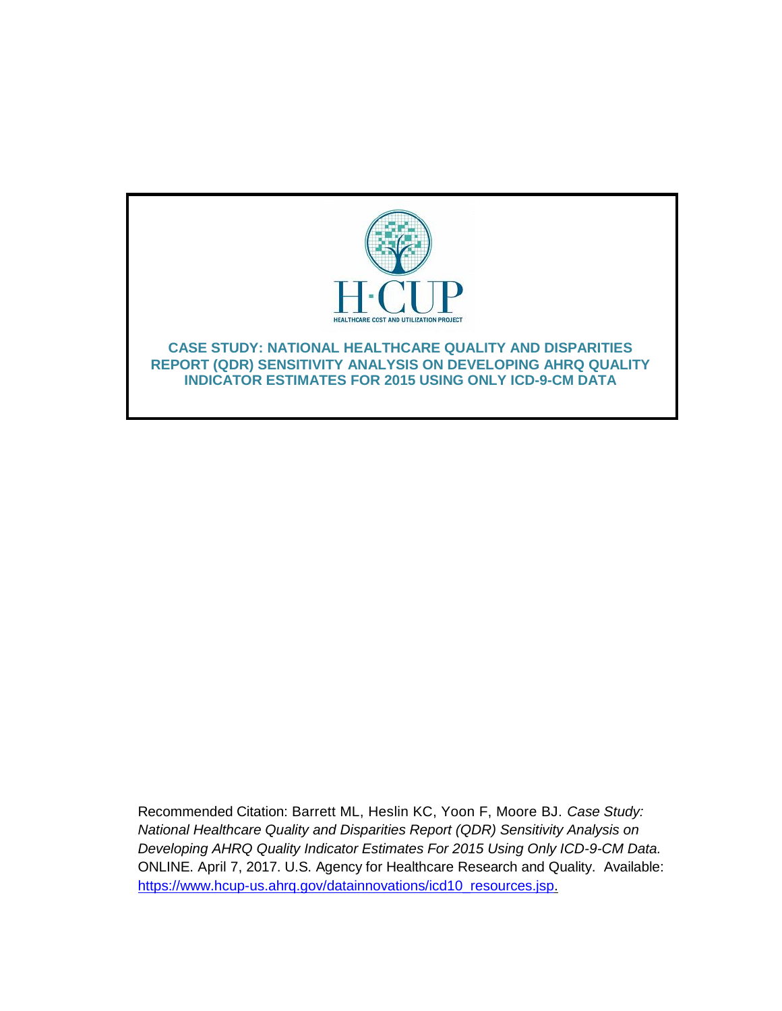

Recommended Citation: Barrett ML, Heslin KC, Yoon F, Moore BJ. *Case Study: National Healthcare Quality and Disparities Report (QDR) Sensitivity Analysis on Developing AHRQ Quality Indicator Estimates For 2015 Using Only ICD-9-CM Data.* ONLINE. April 7, 2017. U.S. Agency for Healthcare Research and Quality. Available: [https://www.hcup-us.ahrq.gov/datainnovations/icd10\\_resources.jsp.](http://www.hcup-us.ahrq.gov/reports/methods/methods.jsp)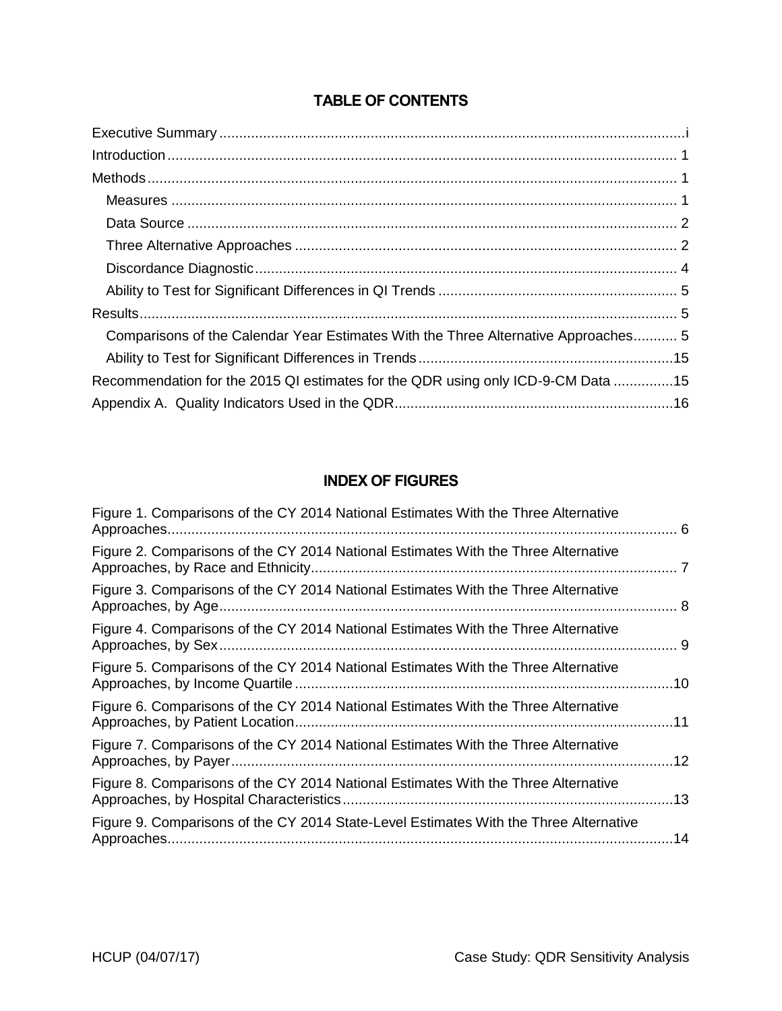# TABLE OF CONTENTS

| Comparisons of the Calendar Year Estimates With the Three Alternative Approaches 5 |
|------------------------------------------------------------------------------------|
|                                                                                    |
| Recommendation for the 2015 QI estimates for the QDR using only ICD-9-CM Data 15   |
|                                                                                    |

# INDEX OF FIGURES

| Figure 1. Comparisons of the CY 2014 National Estimates With the Three Alternative    |  |
|---------------------------------------------------------------------------------------|--|
| Figure 2. Comparisons of the CY 2014 National Estimates With the Three Alternative    |  |
| Figure 3. Comparisons of the CY 2014 National Estimates With the Three Alternative    |  |
| Figure 4. Comparisons of the CY 2014 National Estimates With the Three Alternative    |  |
| Figure 5. Comparisons of the CY 2014 National Estimates With the Three Alternative    |  |
| Figure 6. Comparisons of the CY 2014 National Estimates With the Three Alternative    |  |
| Figure 7. Comparisons of the CY 2014 National Estimates With the Three Alternative    |  |
| Figure 8. Comparisons of the CY 2014 National Estimates With the Three Alternative    |  |
| Figure 9. Comparisons of the CY 2014 State-Level Estimates With the Three Alternative |  |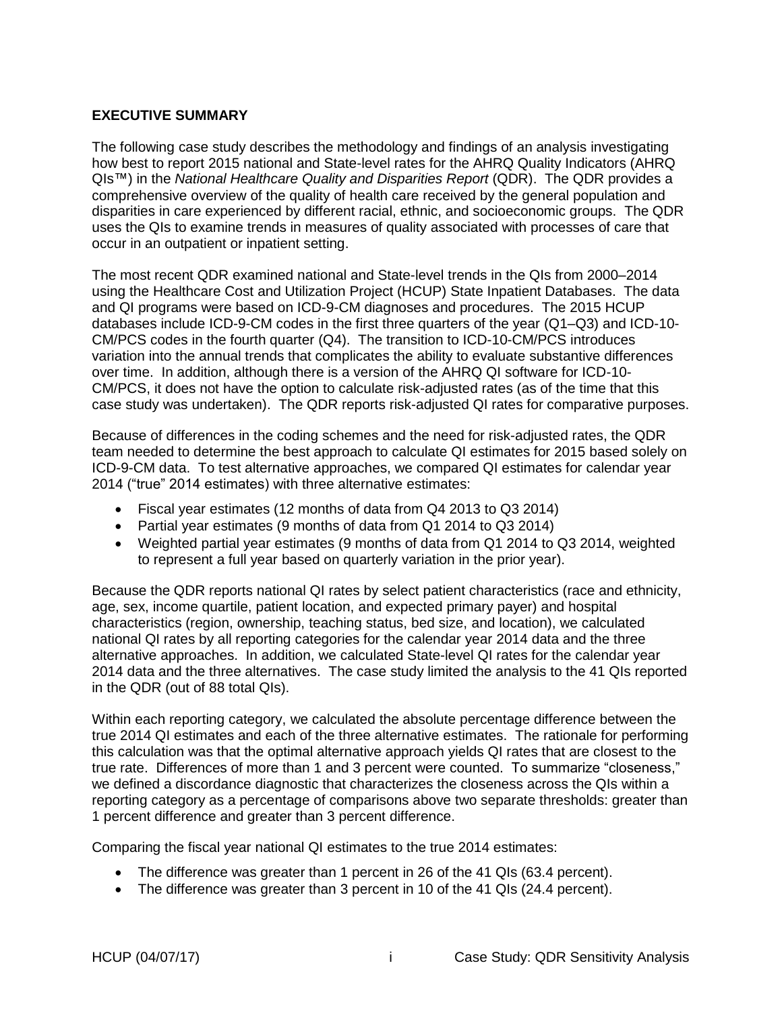#### <span id="page-2-0"></span>**EXECUTIVE SUMMARY**

The following case study describes the methodology and findings of an analysis investigating how best to report 2015 national and State-level rates for the AHRQ Quality Indicators (AHRQ QIs™) in the *National Healthcare Quality and Disparities Report* (QDR). The QDR provides a comprehensive overview of the quality of health care received by the general population and disparities in care experienced by different racial, ethnic, and socioeconomic groups. The QDR uses the QIs to examine trends in measures of quality associated with processes of care that occur in an outpatient or inpatient setting.

The most recent QDR examined national and State-level trends in the QIs from 2000–2014 using the Healthcare Cost and Utilization Project (HCUP) State Inpatient Databases. The data and QI programs were based on ICD-9-CM diagnoses and procedures. The 2015 HCUP databases include ICD-9-CM codes in the first three quarters of the year (Q1–Q3) and ICD-10- CM/PCS codes in the fourth quarter (Q4). The transition to ICD-10-CM/PCS introduces variation into the annual trends that complicates the ability to evaluate substantive differences over time. In addition, although there is a version of the AHRQ QI software for ICD-10- CM/PCS, it does not have the option to calculate risk-adjusted rates (as of the time that this case study was undertaken). The QDR reports risk-adjusted QI rates for comparative purposes.

Because of differences in the coding schemes and the need for risk-adjusted rates, the QDR team needed to determine the best approach to calculate QI estimates for 2015 based solely on ICD-9-CM data. To test alternative approaches, we compared QI estimates for calendar year 2014 ("true" 2014 estimates) with three alternative estimates:

- Fiscal year estimates (12 months of data from Q4 2013 to Q3 2014)
- Partial year estimates (9 months of data from Q1 2014 to Q3 2014)
- Weighted partial year estimates (9 months of data from Q1 2014 to Q3 2014, weighted to represent a full year based on quarterly variation in the prior year).

Because the QDR reports national QI rates by select patient characteristics (race and ethnicity, age, sex, income quartile, patient location, and expected primary payer) and hospital characteristics (region, ownership, teaching status, bed size, and location), we calculated national QI rates by all reporting categories for the calendar year 2014 data and the three alternative approaches. In addition, we calculated State-level QI rates for the calendar year 2014 data and the three alternatives. The case study limited the analysis to the 41 QIs reported in the QDR (out of 88 total QIs).

Within each reporting category, we calculated the absolute percentage difference between the true 2014 QI estimates and each of the three alternative estimates. The rationale for performing this calculation was that the optimal alternative approach yields QI rates that are closest to the true rate. Differences of more than 1 and 3 percent were counted. To summarize "closeness," we defined a discordance diagnostic that characterizes the closeness across the QIs within a reporting category as a percentage of comparisons above two separate thresholds: greater than 1 percent difference and greater than 3 percent difference.

Comparing the fiscal year national QI estimates to the true 2014 estimates:

- The difference was greater than 1 percent in 26 of the 41 QIs (63.4 percent).
- The difference was greater than 3 percent in 10 of the 41 QIs (24.4 percent).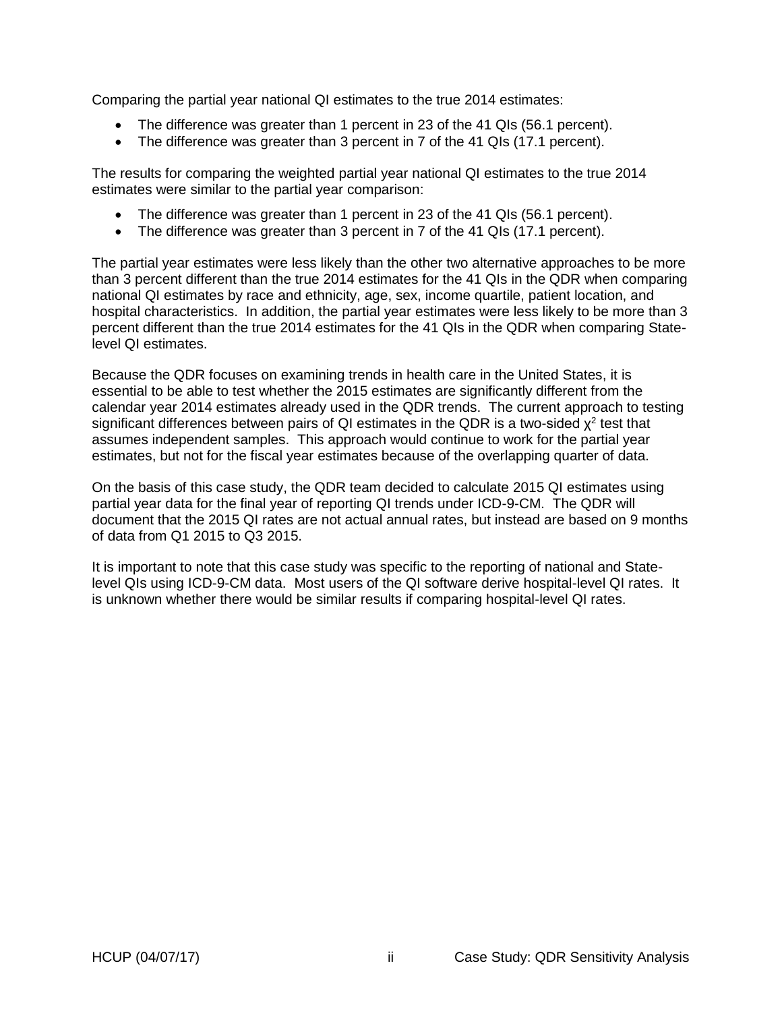Comparing the partial year national QI estimates to the true 2014 estimates:

- The difference was greater than 1 percent in 23 of the 41 QIs (56.1 percent).
- The difference was greater than 3 percent in 7 of the 41 QIs (17.1 percent).

The results for comparing the weighted partial year national QI estimates to the true 2014 estimates were similar to the partial year comparison:

- The difference was greater than 1 percent in 23 of the 41 QIs (56.1 percent).
- The difference was greater than 3 percent in 7 of the 41 QIs (17.1 percent).

The partial year estimates were less likely than the other two alternative approaches to be more than 3 percent different than the true 2014 estimates for the 41 QIs in the QDR when comparing national QI estimates by race and ethnicity, age, sex, income quartile, patient location, and hospital characteristics. In addition, the partial year estimates were less likely to be more than 3 percent different than the true 2014 estimates for the 41 QIs in the QDR when comparing Statelevel QI estimates.

Because the QDR focuses on examining trends in health care in the United States, it is essential to be able to test whether the 2015 estimates are significantly different from the calendar year 2014 estimates already used in the QDR trends. The current approach to testing significant differences between pairs of QI estimates in the QDR is a two-sided  $\chi^2$  test that assumes independent samples. This approach would continue to work for the partial year estimates, but not for the fiscal year estimates because of the overlapping quarter of data.

On the basis of this case study, the QDR team decided to calculate 2015 QI estimates using partial year data for the final year of reporting QI trends under ICD-9-CM. The QDR will document that the 2015 QI rates are not actual annual rates, but instead are based on 9 months of data from Q1 2015 to Q3 2015.

It is important to note that this case study was specific to the reporting of national and Statelevel QIs using ICD-9-CM data. Most users of the QI software derive hospital-level QI rates. It is unknown whether there would be similar results if comparing hospital-level QI rates.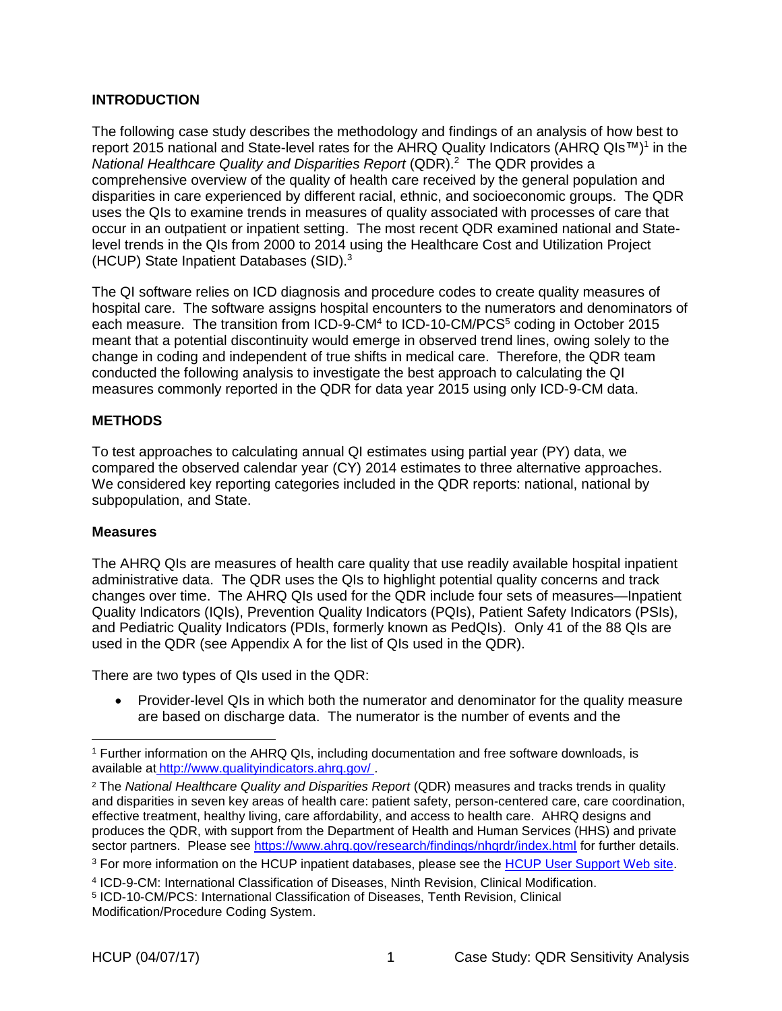### <span id="page-4-0"></span>**INTRODUCTION**

The following case study describes the methodology and findings of an analysis of how best to report 2015 national and State-level rates for the AHRQ Quality Indicators (AHRQ QIs™)<sup>1</sup> in the *National Healthcare Quality and Disparities Report* (QDR).<sup>2</sup> The QDR provides a comprehensive overview of the quality of health care received by the general population and disparities in care experienced by different racial, ethnic, and socioeconomic groups. The QDR uses the QIs to examine trends in measures of quality associated with processes of care that occur in an outpatient or inpatient setting. The most recent QDR examined national and Statelevel trends in the QIs from 2000 to 2014 using the Healthcare Cost and Utilization Project (HCUP) State Inpatient Databases (SID). 3

The QI software relies on ICD diagnosis and procedure codes to create quality measures of hospital care. The software assigns hospital encounters to the numerators and denominators of each measure. The transition from ICD-9-CM<sup>4</sup> to ICD-10-CM/PCS<sup>5</sup> coding in October 2015 meant that a potential discontinuity would emerge in observed trend lines, owing solely to the change in coding and independent of true shifts in medical care. Therefore, the QDR team conducted the following analysis to investigate the best approach to calculating the QI measures commonly reported in the QDR for data year 2015 using only ICD-9-CM data.

### <span id="page-4-1"></span>**METHODS**

To test approaches to calculating annual QI estimates using partial year (PY) data, we compared the observed calendar year (CY) 2014 estimates to three alternative approaches. We considered key reporting categories included in the QDR reports: national, national by subpopulation, and State.

### <span id="page-4-2"></span>**Measures**

 $\overline{a}$ 

The AHRQ QIs are measures of health care quality that use readily available hospital inpatient administrative data. The QDR uses the QIs to highlight potential quality concerns and track changes over time. The AHRQ QIs used for the QDR include four sets of measures—Inpatient Quality Indicators (IQIs), Prevention Quality Indicators (PQIs), Patient Safety Indicators (PSIs), and Pediatric Quality Indicators (PDIs, formerly known as PedQIs). Only 41 of the 88 QIs are used in the QDR (see Appendix A for the list of QIs used in the QDR).

There are two types of QIs used in the QDR:

• Provider-level QIs in which both the numerator and denominator for the quality measure are based on discharge data. The numerator is the number of events and the

<sup>&</sup>lt;sup>1</sup> Further information on the AHRQ QIs, including documentation and free software downloads, is available at http:/[/www.qualityindicators.ahrq.gov/](file:///C:/Users/ML%20Barrett/AppData/Local/Microsoft/Windows/Temporary%20Internet%20Files/Content.Outlook/TLR04MA0/www.qualityindicators.ahrq.gov/) .

<sup>2</sup> The *National Healthcare Quality and Disparities Report* (QDR) measures and tracks trends in quality and disparities in seven key areas of health care: patient safety, person-centered care, care coordination, effective treatment, healthy living, care affordability, and access to health care. AHRQ designs and produces the QDR, with support from the Department of Health and Human Services (HHS) and private sector partners. Please see<https://www.ahrq.gov/research/findings/nhqrdr/index.html> for further details.

<sup>&</sup>lt;sup>3</sup> For more information on the HCUP inpatient databases, please see the [HCUP User Support Web site.](https://www.hcup-us.ahrq.gov/)

<sup>4</sup> ICD-9-CM: International Classification of Diseases, Ninth Revision, Clinical Modification.

<sup>5</sup> ICD-10-CM/PCS: International Classification of Diseases, Tenth Revision, Clinical

Modification/Procedure Coding System.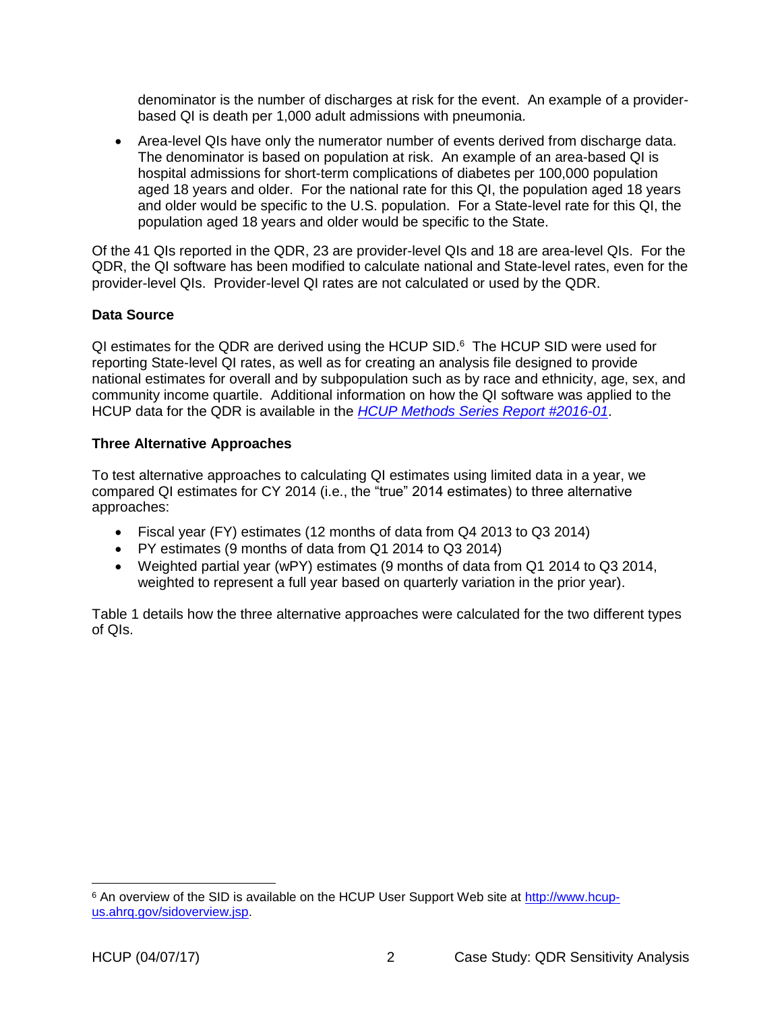denominator is the number of discharges at risk for the event. An example of a providerbased QI is death per 1,000 adult admissions with pneumonia.

 Area-level QIs have only the numerator number of events derived from discharge data. The denominator is based on population at risk. An example of an area-based QI is hospital admissions for short-term complications of diabetes per 100,000 population aged 18 years and older. For the national rate for this QI, the population aged 18 years and older would be specific to the U.S. population. For a State-level rate for this QI, the population aged 18 years and older would be specific to the State.

Of the 41 QIs reported in the QDR, 23 are provider-level QIs and 18 are area-level QIs. For the QDR, the QI software has been modified to calculate national and State-level rates, even for the provider-level QIs. Provider-level QI rates are not calculated or used by the QDR.

### <span id="page-5-0"></span>**Data Source**

QI estimates for the QDR are derived using the HCUP SID.<sup>6</sup> The HCUP SID were used for reporting State-level QI rates, as well as for creating an analysis file designed to provide national estimates for overall and by subpopulation such as by race and ethnicity, age, sex, and community income quartile. Additional information on how the QI software was applied to the HCUP data for the QDR is available in the *[HCUP Methods Series Report #2016-01](http://www.hcup-us.ahrq.gov/reports/methods/2016-01.pdf)*.

### <span id="page-5-1"></span>**Three Alternative Approaches**

To test alternative approaches to calculating QI estimates using limited data in a year, we compared QI estimates for CY 2014 (i.e., the "true" 2014 estimates) to three alternative approaches:

- Fiscal year (FY) estimates (12 months of data from Q4 2013 to Q3 2014)
- PY estimates (9 months of data from Q1 2014 to Q3 2014)
- Weighted partial year (wPY) estimates (9 months of data from Q1 2014 to Q3 2014, weighted to represent a full year based on quarterly variation in the prior year).

Table 1 details how the three alternative approaches were calculated for the two different types of QIs.

<sup>&</sup>lt;sup>6</sup> An overview of the SID is available on the HCUP User Support Web site at [http://www.hcup](http://www.hcup-us.ahrq.gov/sidoverview.jsp)[us.ahrq.gov/sidoverview.jsp.](http://www.hcup-us.ahrq.gov/sidoverview.jsp)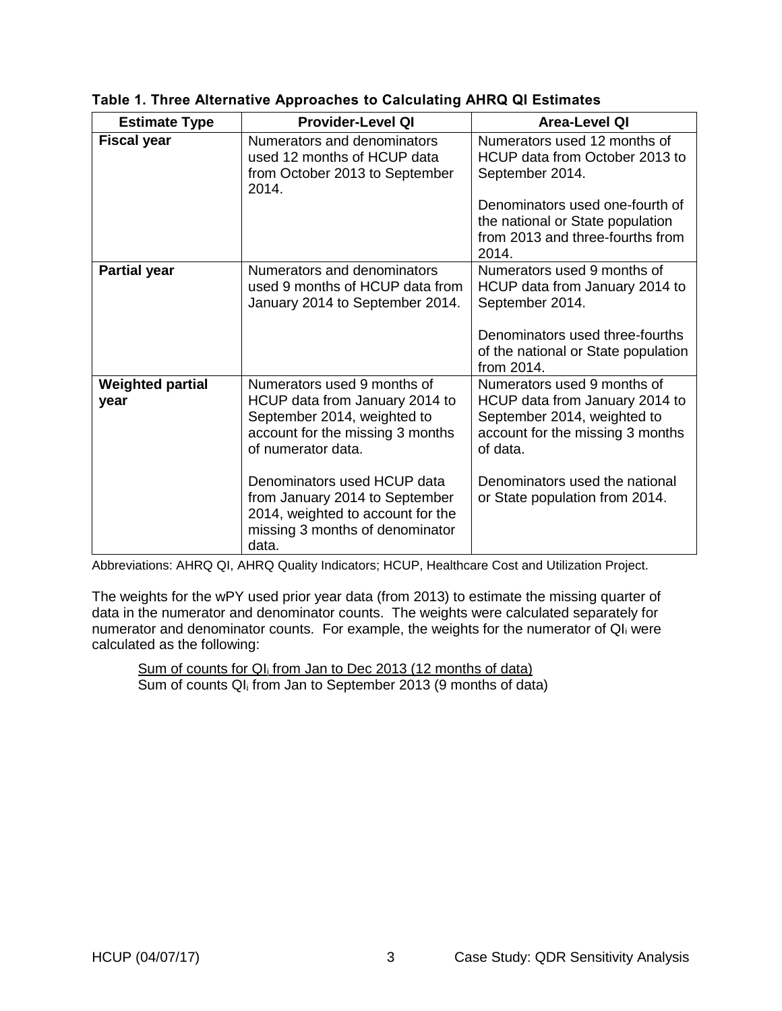| <b>Estimate Type</b>            | <b>Provider-Level QI</b>                                                                                                                                                              | <b>Area-Level QI</b>                                                                                                                                                           |
|---------------------------------|---------------------------------------------------------------------------------------------------------------------------------------------------------------------------------------|--------------------------------------------------------------------------------------------------------------------------------------------------------------------------------|
| <b>Fiscal year</b>              | Numerators and denominators<br>used 12 months of HCUP data<br>from October 2013 to September<br>2014.                                                                                 | Numerators used 12 months of<br>HCUP data from October 2013 to<br>September 2014.                                                                                              |
|                                 |                                                                                                                                                                                       | Denominators used one-fourth of<br>the national or State population<br>from 2013 and three-fourths from<br>2014.                                                               |
| <b>Partial year</b>             | Numerators and denominators<br>used 9 months of HCUP data from<br>January 2014 to September 2014.                                                                                     | Numerators used 9 months of<br>HCUP data from January 2014 to<br>September 2014.<br>Denominators used three-fourths<br>of the national or State population<br>from 2014.       |
| <b>Weighted partial</b><br>year | Numerators used 9 months of<br>HCUP data from January 2014 to<br>September 2014, weighted to<br>account for the missing 3 months<br>of numerator data.<br>Denominators used HCUP data | Numerators used 9 months of<br>HCUP data from January 2014 to<br>September 2014, weighted to<br>account for the missing 3 months<br>of data.<br>Denominators used the national |
|                                 | from January 2014 to September<br>2014, weighted to account for the<br>missing 3 months of denominator<br>data.                                                                       | or State population from 2014.                                                                                                                                                 |

|  |  |  | Table 1. Three Alternative Approaches to Calculating AHRQ QI Estimates |
|--|--|--|------------------------------------------------------------------------|
|  |  |  |                                                                        |

Abbreviations: AHRQ QI, AHRQ Quality Indicators; HCUP, Healthcare Cost and Utilization Project.

The weights for the wPY used prior year data (from 2013) to estimate the missing quarter of data in the numerator and denominator counts. The weights were calculated separately for numerator and denominator counts. For example, the weights for the numerator of QI<sub>i</sub> were calculated as the following:

Sum of counts for QI<sub>i</sub> from Jan to Dec 2013 (12 months of data) Sum of counts QI<sup>i</sup> from Jan to September 2013 (9 months of data)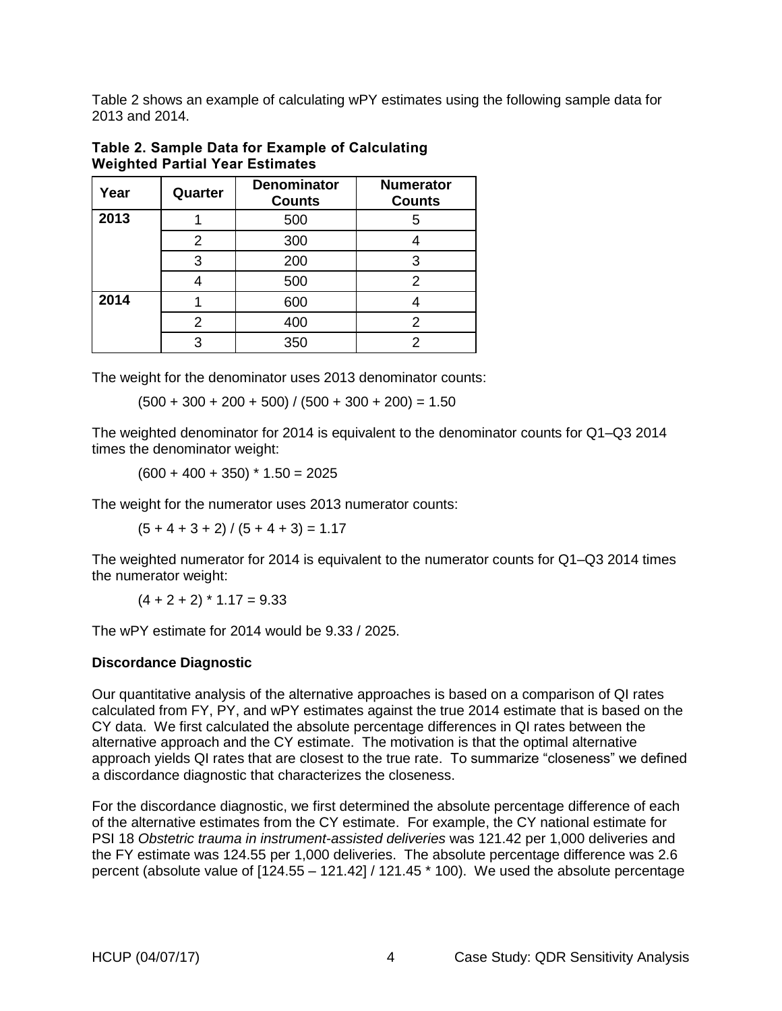Table 2 shows an example of calculating wPY estimates using the following sample data for 2013 and 2014.

| Year | Quarter | <b>Denominator</b><br><b>Counts</b> | <b>Numerator</b><br><b>Counts</b> |
|------|---------|-------------------------------------|-----------------------------------|
| 2013 |         | 500                                 |                                   |
|      |         | 300                                 |                                   |
|      | 3       | 200                                 | ว                                 |
|      |         | 500                                 | 2                                 |
| 2014 |         | 600                                 |                                   |
|      |         | 400                                 |                                   |
|      | ⌒       | 350                                 |                                   |

Table 2. Sample Data for Example of Calculating Weighted Partial Year Estimates

The weight for the denominator uses 2013 denominator counts:

 $(500 + 300 + 200 + 500) / (500 + 300 + 200) = 1.50$ 

The weighted denominator for 2014 is equivalent to the denominator counts for Q1–Q3 2014 times the denominator weight:

 $(600 + 400 + 350)$  \*  $1.50 = 2025$ 

The weight for the numerator uses 2013 numerator counts:

 $(5 + 4 + 3 + 2) / (5 + 4 + 3) = 1.17$ 

The weighted numerator for 2014 is equivalent to the numerator counts for Q1–Q3 2014 times the numerator weight:

 $(4 + 2 + 2)$  \* 1.17 = 9.33

The wPY estimate for 2014 would be 9.33 / 2025.

### <span id="page-7-0"></span>**Discordance Diagnostic**

Our quantitative analysis of the alternative approaches is based on a comparison of QI rates calculated from FY, PY, and wPY estimates against the true 2014 estimate that is based on the CY data. We first calculated the absolute percentage differences in QI rates between the alternative approach and the CY estimate. The motivation is that the optimal alternative approach yields QI rates that are closest to the true rate. To summarize "closeness" we defined a discordance diagnostic that characterizes the closeness.

For the discordance diagnostic, we first determined the absolute percentage difference of each of the alternative estimates from the CY estimate. For example, the CY national estimate for PSI 18 *Obstetric trauma in instrument-assisted deliveries* was 121.42 per 1,000 deliveries and the FY estimate was 124.55 per 1,000 deliveries. The absolute percentage difference was 2.6 percent (absolute value of [124.55 – 121.42] / 121.45 \* 100). We used the absolute percentage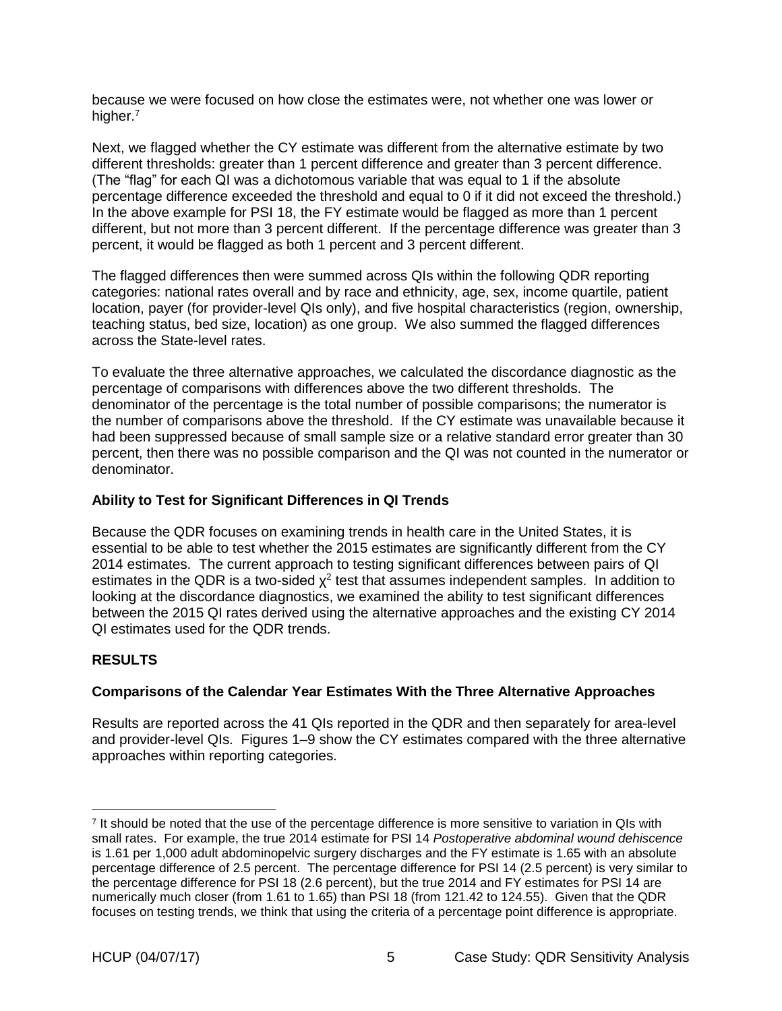because we were focused on how close the estimates were, not whether one was lower or higher.<sup>7</sup>

Next, we flagged whether the CY estimate was different from the alternative estimate by two different thresholds: greater than 1 percent difference and greater than 3 percent difference. (The "flag" for each QI was a dichotomous variable that was equal to 1 if the absolute percentage difference exceeded the threshold and equal to 0 if it did not exceed the threshold.) In the above example for PSI 18, the FY estimate would be flagged as more than 1 percent different, but not more than 3 percent different. If the percentage difference was greater than 3 percent, it would be flagged as both 1 percent and 3 percent different.

The flagged differences then were summed across QIs within the following QDR reporting categories: national rates overall and by race and ethnicity, age, sex, income quartile, patient location, payer (for provider-level QIs only), and five hospital characteristics (region, ownership, teaching status, bed size, location) as one group. We also summed the flagged differences across the State-level rates.

To evaluate the three alternative approaches, we calculated the discordance diagnostic as the percentage of comparisons with differences above the two different thresholds. The denominator of the percentage is the total number of possible comparisons; the numerator is the number of comparisons above the threshold. If the CY estimate was unavailable because it had been suppressed because of small sample size or a relative standard error greater than 30 percent, then there was no possible comparison and the QI was not counted in the numerator or denominator.

### <span id="page-8-0"></span>**Ability to Test for Significant Differences in QI Trends**

Because the QDR focuses on examining trends in health care in the United States, it is essential to be able to test whether the 2015 estimates are significantly different from the CY 2014 estimates. The current approach to testing significant differences between pairs of QI estimates in the QDR is a two-sided  $\chi^2$  test that assumes independent samples. In addition to looking at the discordance diagnostics, we examined the ability to test significant differences between the 2015 QI rates derived using the alternative approaches and the existing CY 2014 QI estimates used for the QDR trends.

## <span id="page-8-1"></span>**RESULTS**

## <span id="page-8-2"></span>**Comparisons of the Calendar Year Estimates With the Three Alternative Approaches**

Results are reported across the 41 QIs reported in the QDR and then separately for area-level and provider-level QIs. Figures 1–9 show the CY estimates compared with the three alternative approaches within reporting categories.

<sup>&</sup>lt;sup>7</sup> It should be noted that the use of the percentage difference is more sensitive to variation in QIs with small rates. For example, the true 2014 estimate for PSI 14 *Postoperative abdominal wound dehiscence* is 1.61 per 1,000 adult abdominopelvic surgery discharges and the FY estimate is 1.65 with an absolute percentage difference of 2.5 percent. The percentage difference for PSI 14 (2.5 percent) is very similar to the percentage difference for PSI 18 (2.6 percent), but the true 2014 and FY estimates for PSI 14 are numerically much closer (from 1.61 to 1.65) than PSI 18 (from 121.42 to 124.55). Given that the QDR focuses on testing trends, we think that using the criteria of a percentage point difference is appropriate.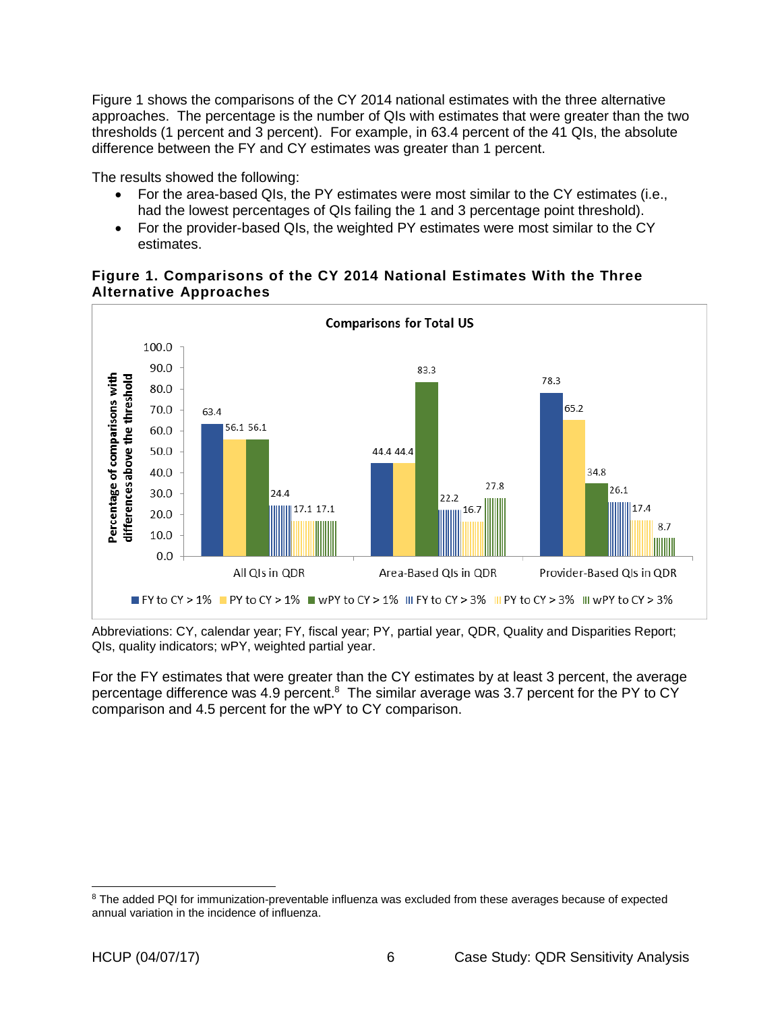Figure 1 shows the comparisons of the CY 2014 national estimates with the three alternative approaches. The percentage is the number of QIs with estimates that were greater than the two thresholds (1 percent and 3 percent). For example, in 63.4 percent of the 41 QIs, the absolute difference between the FY and CY estimates was greater than 1 percent.

The results showed the following:

- For the area-based QIs, the PY estimates were most similar to the CY estimates (i.e., had the lowest percentages of QIs failing the 1 and 3 percentage point threshold).
- For the provider-based QIs, the weighted PY estimates were most similar to the CY estimates.

<span id="page-9-0"></span>



Abbreviations: CY, calendar year; FY, fiscal year; PY, partial year, QDR, Quality and Disparities Report; QIs, quality indicators; wPY, weighted partial year.

For the FY estimates that were greater than the CY estimates by at least 3 percent, the average percentage difference was 4.9 percent.<sup>8</sup> The similar average was 3.7 percent for the PY to CY comparison and 4.5 percent for the wPY to CY comparison.

 $\overline{a}$ 

<sup>&</sup>lt;sup>8</sup> The added PQI for immunization-preventable influenza was excluded from these averages because of expected annual variation in the incidence of influenza.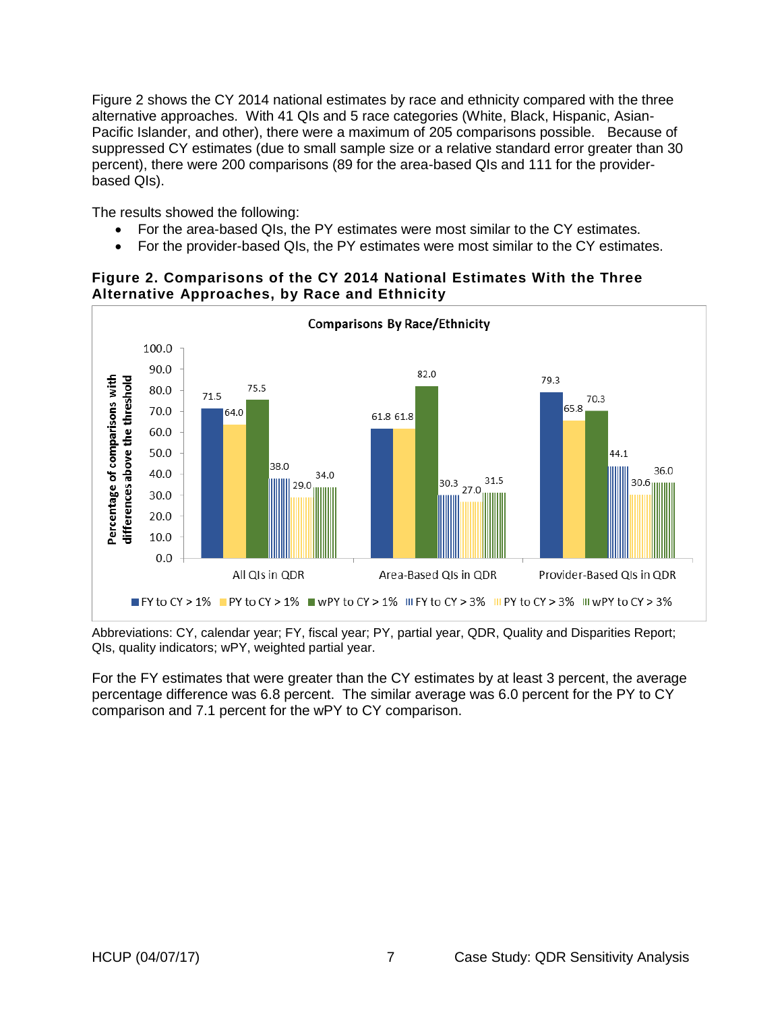Figure 2 shows the CY 2014 national estimates by race and ethnicity compared with the three alternative approaches. With 41 QIs and 5 race categories (White, Black, Hispanic, Asian-Pacific Islander, and other), there were a maximum of 205 comparisons possible. Because of suppressed CY estimates (due to small sample size or a relative standard error greater than 30 percent), there were 200 comparisons (89 for the area-based QIs and 111 for the providerbased QIs).

The results showed the following:

- For the area-based QIs, the PY estimates were most similar to the CY estimates.
- For the provider-based QIs, the PY estimates were most similar to the CY estimates.



### <span id="page-10-0"></span>**Figure 2. Comparisons of the CY 2014 National Estimates With the Three Alternative Approaches, by Race and Ethnicity**

Abbreviations: CY, calendar year; FY, fiscal year; PY, partial year, QDR, Quality and Disparities Report; QIs, quality indicators; wPY, weighted partial year.

For the FY estimates that were greater than the CY estimates by at least 3 percent, the average percentage difference was 6.8 percent. The similar average was 6.0 percent for the PY to CY comparison and 7.1 percent for the wPY to CY comparison.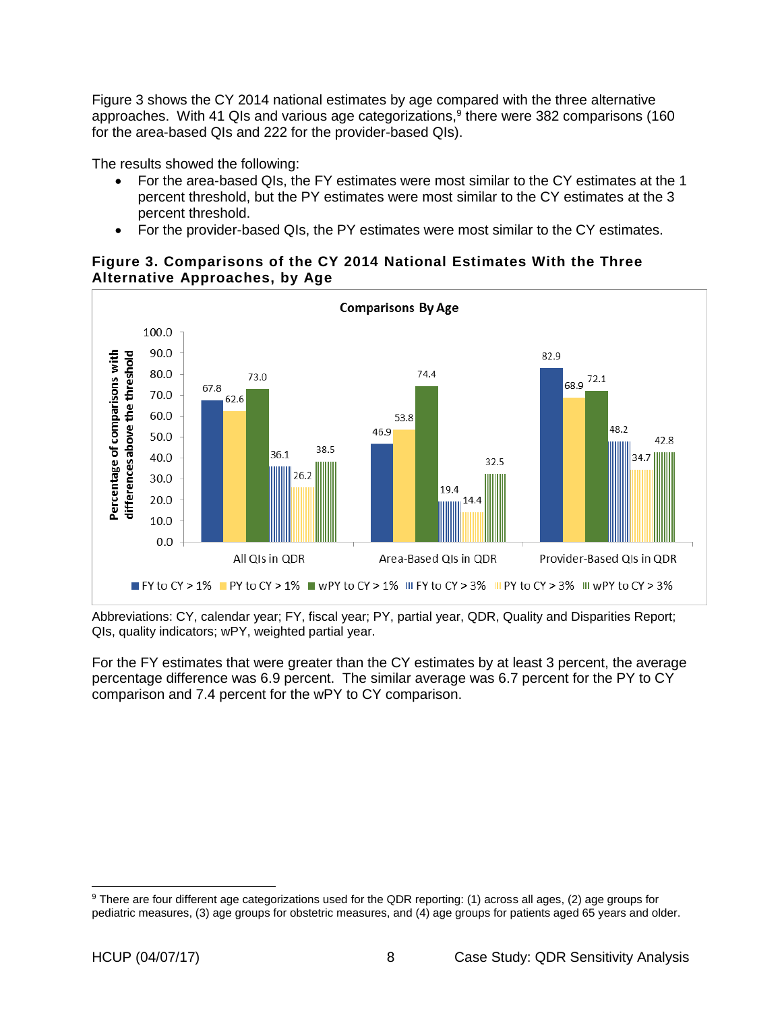Figure 3 shows the CY 2014 national estimates by age compared with the three alternative approaches. With 41 QIs and various age categorizations,<sup>9</sup> there were 382 comparisons (160 for the area-based QIs and 222 for the provider-based QIs).

The results showed the following:

- For the area-based QIs, the FY estimates were most similar to the CY estimates at the 1 percent threshold, but the PY estimates were most similar to the CY estimates at the 3 percent threshold.
- For the provider-based QIs, the PY estimates were most similar to the CY estimates.

### <span id="page-11-0"></span>**Figure 3. Comparisons of the CY 2014 National Estimates With the Three Alternative Approaches, by Age**



Abbreviations: CY, calendar year; FY, fiscal year; PY, partial year, QDR, Quality and Disparities Report; QIs, quality indicators; wPY, weighted partial year.

For the FY estimates that were greater than the CY estimates by at least 3 percent, the average percentage difference was 6.9 percent. The similar average was 6.7 percent for the PY to CY comparison and 7.4 percent for the wPY to CY comparison.

 $\overline{a}$ 

<sup>9</sup> There are four different age categorizations used for the QDR reporting: (1) across all ages, (2) age groups for pediatric measures, (3) age groups for obstetric measures, and (4) age groups for patients aged 65 years and older.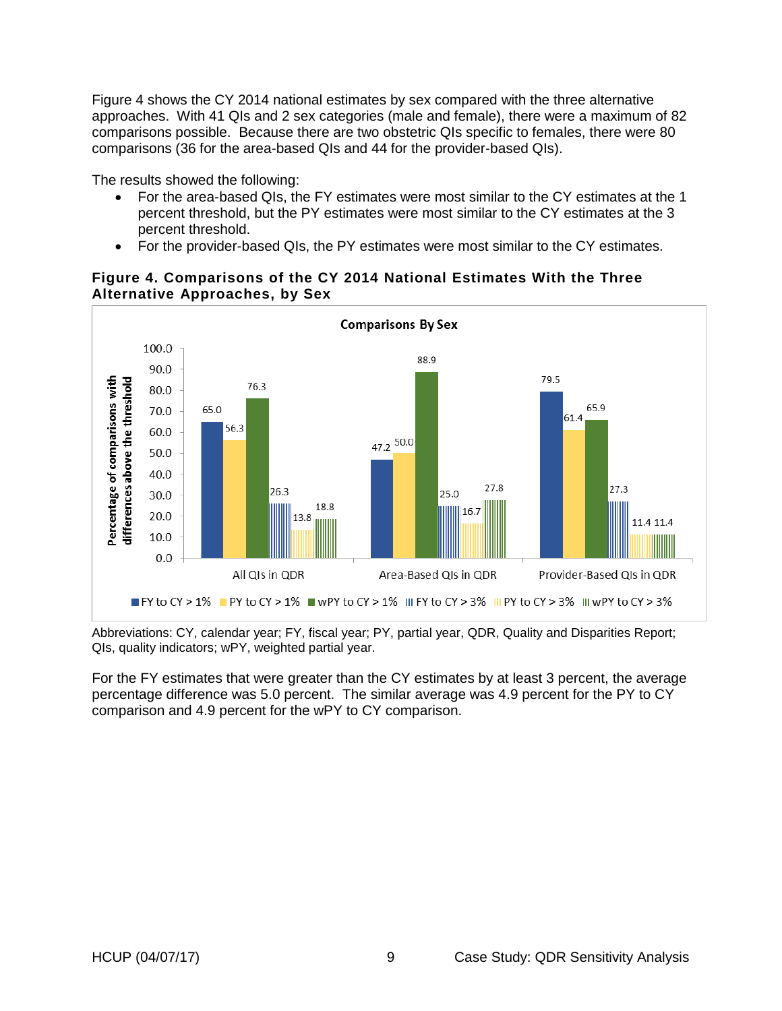Figure 4 shows the CY 2014 national estimates by sex compared with the three alternative approaches. With 41 QIs and 2 sex categories (male and female), there were a maximum of 82 comparisons possible. Because there are two obstetric QIs specific to females, there were 80 comparisons (36 for the area-based QIs and 44 for the provider-based QIs).

The results showed the following:

- For the area-based QIs, the FY estimates were most similar to the CY estimates at the 1 percent threshold, but the PY estimates were most similar to the CY estimates at the 3 percent threshold.
- For the provider-based QIs, the PY estimates were most similar to the CY estimates.



### <span id="page-12-0"></span>**Figure 4. Comparisons of the CY 2014 National Estimates With the Three Alternative Approaches, by Sex**

Abbreviations: CY, calendar year; FY, fiscal year; PY, partial year, QDR, Quality and Disparities Report; QIs, quality indicators; wPY, weighted partial year.

For the FY estimates that were greater than the CY estimates by at least 3 percent, the average percentage difference was 5.0 percent. The similar average was 4.9 percent for the PY to CY comparison and 4.9 percent for the wPY to CY comparison.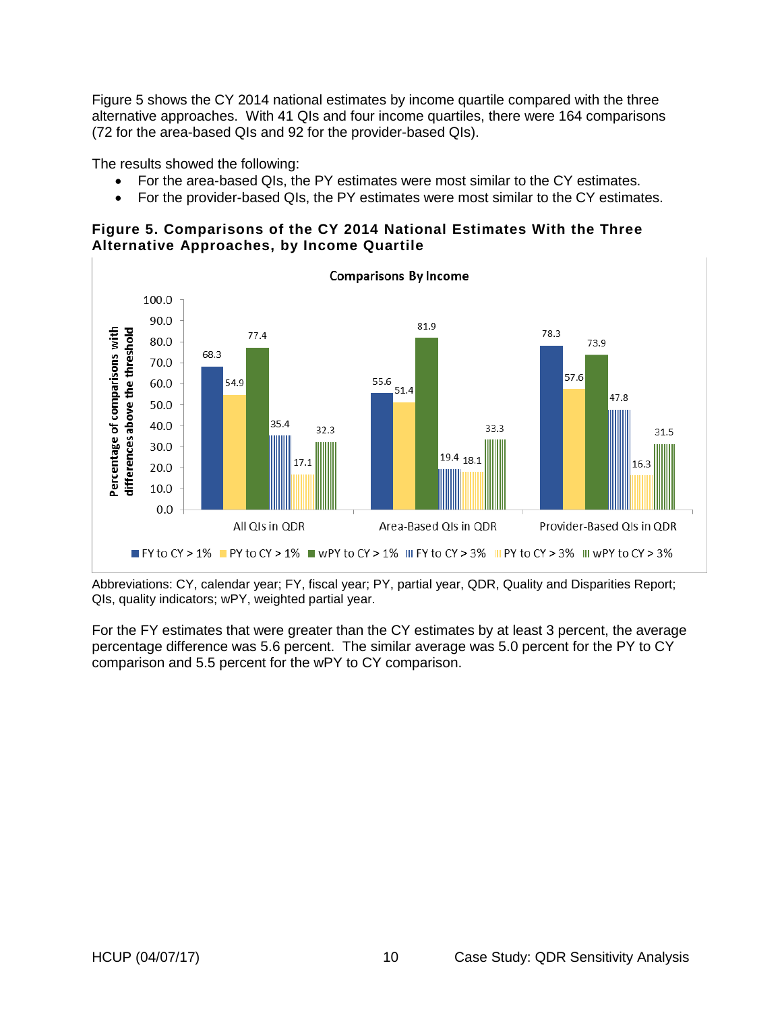Figure 5 shows the CY 2014 national estimates by income quartile compared with the three alternative approaches. With 41 QIs and four income quartiles, there were 164 comparisons (72 for the area-based QIs and 92 for the provider-based QIs).

The results showed the following:

- For the area-based QIs, the PY estimates were most similar to the CY estimates.
- For the provider-based QIs, the PY estimates were most similar to the CY estimates.

<span id="page-13-0"></span>**Figure 5. Comparisons of the CY 2014 National Estimates With the Three Alternative Approaches, by Income Quartile**



Abbreviations: CY, calendar year; FY, fiscal year; PY, partial year, QDR, Quality and Disparities Report; QIs, quality indicators; wPY, weighted partial year.

For the FY estimates that were greater than the CY estimates by at least 3 percent, the average percentage difference was 5.6 percent. The similar average was 5.0 percent for the PY to CY comparison and 5.5 percent for the wPY to CY comparison.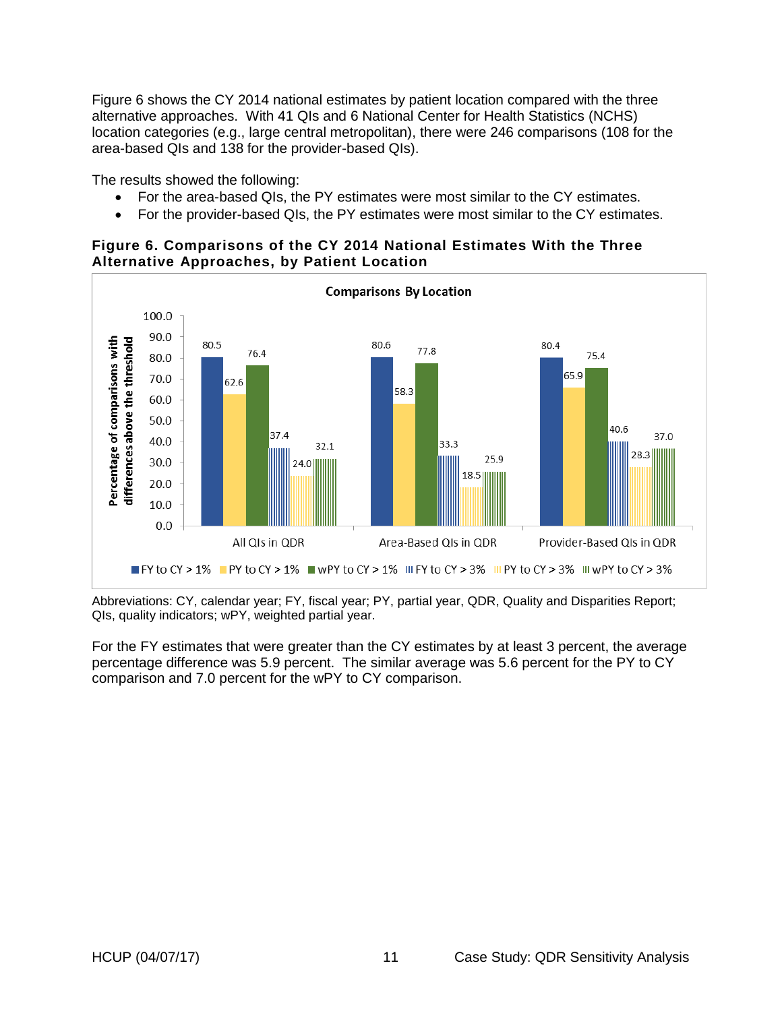Figure 6 shows the CY 2014 national estimates by patient location compared with the three alternative approaches. With 41 QIs and 6 National Center for Health Statistics (NCHS) location categories (e.g., large central metropolitan), there were 246 comparisons (108 for the area-based QIs and 138 for the provider-based QIs).

The results showed the following:

- For the area-based QIs, the PY estimates were most similar to the CY estimates.
- For the provider-based QIs, the PY estimates were most similar to the CY estimates.

### <span id="page-14-0"></span>**Figure 6. Comparisons of the CY 2014 National Estimates With the Three Alternative Approaches, by Patient Location**



Abbreviations: CY, calendar year; FY, fiscal year; PY, partial year, QDR, Quality and Disparities Report; QIs, quality indicators; wPY, weighted partial year.

For the FY estimates that were greater than the CY estimates by at least 3 percent, the average percentage difference was 5.9 percent. The similar average was 5.6 percent for the PY to CY comparison and 7.0 percent for the wPY to CY comparison.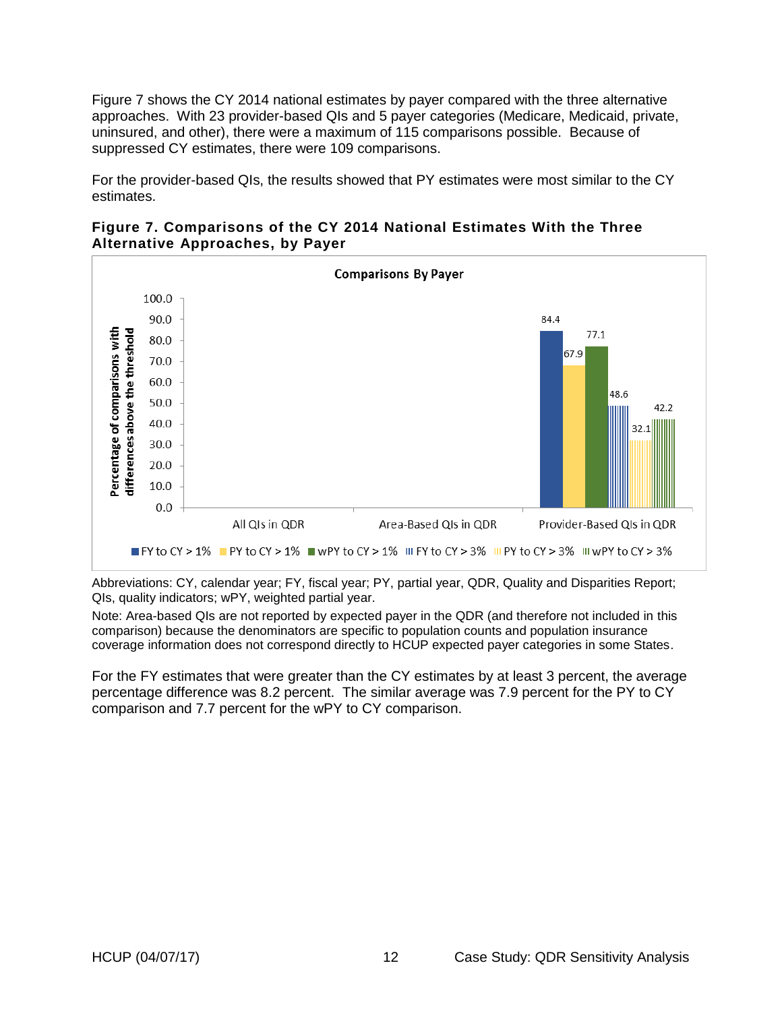Figure 7 shows the CY 2014 national estimates by payer compared with the three alternative approaches. With 23 provider-based QIs and 5 payer categories (Medicare, Medicaid, private, uninsured, and other), there were a maximum of 115 comparisons possible. Because of suppressed CY estimates, there were 109 comparisons.

For the provider-based QIs, the results showed that PY estimates were most similar to the CY estimates.

<span id="page-15-0"></span>



Abbreviations: CY, calendar year; FY, fiscal year; PY, partial year, QDR, Quality and Disparities Report; QIs, quality indicators; wPY, weighted partial year.

Note: Area-based QIs are not reported by expected payer in the QDR (and therefore not included in this comparison) because the denominators are specific to population counts and population insurance coverage information does not correspond directly to HCUP expected payer categories in some States.

For the FY estimates that were greater than the CY estimates by at least 3 percent, the average percentage difference was 8.2 percent. The similar average was 7.9 percent for the PY to CY comparison and 7.7 percent for the wPY to CY comparison.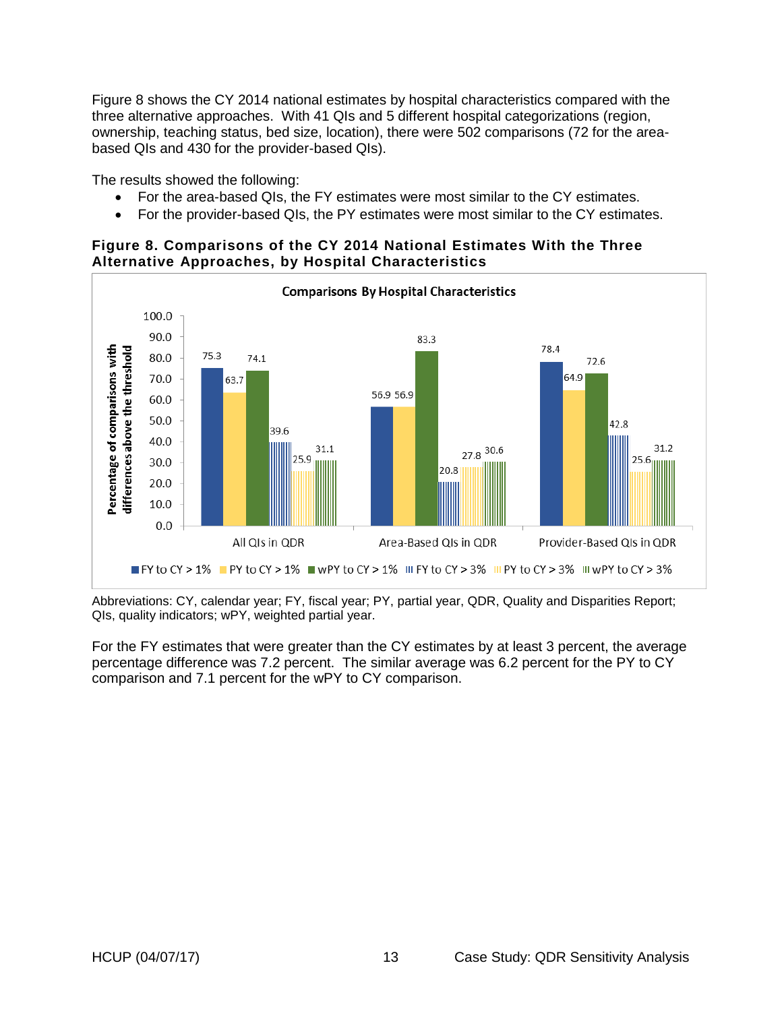Figure 8 shows the CY 2014 national estimates by hospital characteristics compared with the three alternative approaches. With 41 QIs and 5 different hospital categorizations (region, ownership, teaching status, bed size, location), there were 502 comparisons (72 for the areabased QIs and 430 for the provider-based QIs).

The results showed the following:

- For the area-based QIs, the FY estimates were most similar to the CY estimates.
- For the provider-based QIs, the PY estimates were most similar to the CY estimates.

### <span id="page-16-0"></span>**Figure 8. Comparisons of the CY 2014 National Estimates With the Three Alternative Approaches, by Hospital Characteristics**



Abbreviations: CY, calendar year; FY, fiscal year; PY, partial year, QDR, Quality and Disparities Report; QIs, quality indicators; wPY, weighted partial year.

For the FY estimates that were greater than the CY estimates by at least 3 percent, the average percentage difference was 7.2 percent. The similar average was 6.2 percent for the PY to CY comparison and 7.1 percent for the wPY to CY comparison.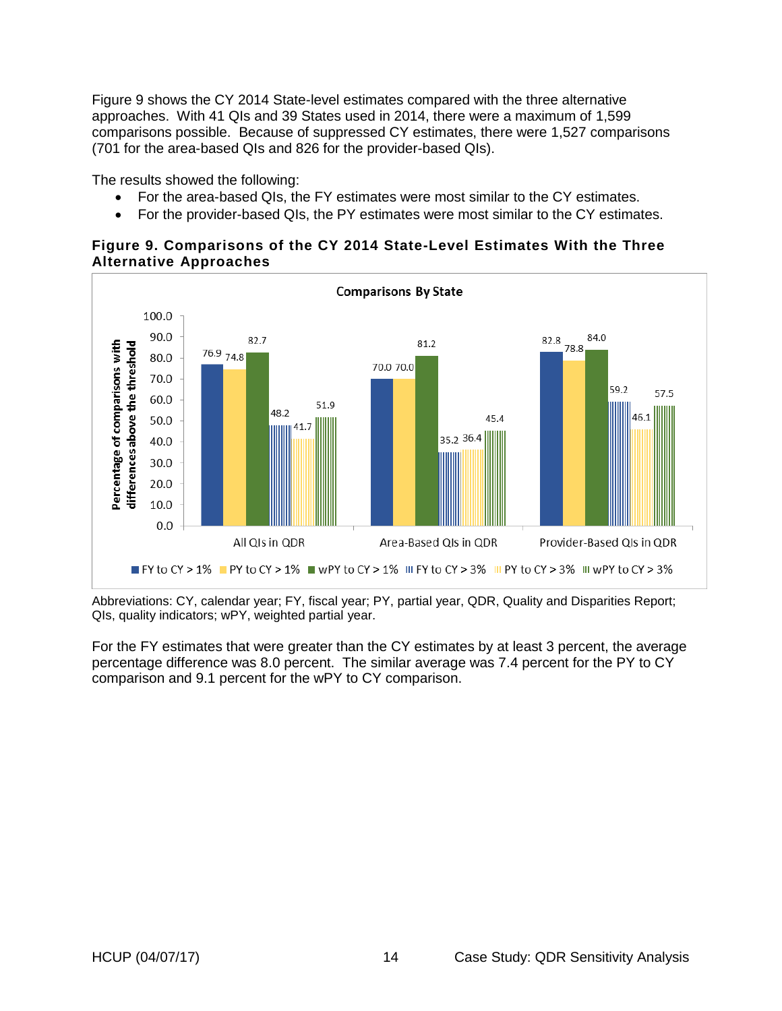Figure 9 shows the CY 2014 State-level estimates compared with the three alternative approaches. With 41 QIs and 39 States used in 2014, there were a maximum of 1,599 comparisons possible. Because of suppressed CY estimates, there were 1,527 comparisons (701 for the area-based QIs and 826 for the provider-based QIs).

The results showed the following:

- For the area-based QIs, the FY estimates were most similar to the CY estimates.
- For the provider-based QIs, the PY estimates were most similar to the CY estimates.

### <span id="page-17-0"></span>**Figure 9. Comparisons of the CY 2014 State-Level Estimates With the Three Alternative Approaches**



Abbreviations: CY, calendar year; FY, fiscal year; PY, partial year, QDR, Quality and Disparities Report; QIs, quality indicators; wPY, weighted partial year.

For the FY estimates that were greater than the CY estimates by at least 3 percent, the average percentage difference was 8.0 percent. The similar average was 7.4 percent for the PY to CY comparison and 9.1 percent for the wPY to CY comparison.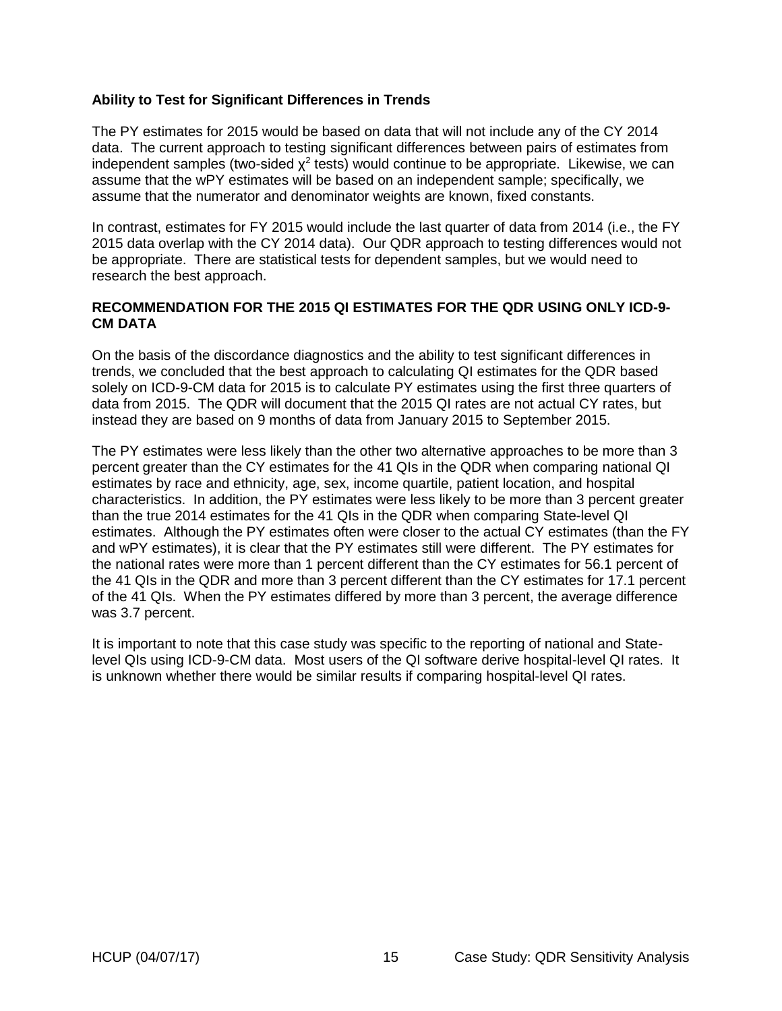### <span id="page-18-0"></span>**Ability to Test for Significant Differences in Trends**

The PY estimates for 2015 would be based on data that will not include any of the CY 2014 data. The current approach to testing significant differences between pairs of estimates from independent samples (two-sided  $\chi^2$  tests) would continue to be appropriate. Likewise, we can assume that the wPY estimates will be based on an independent sample; specifically, we assume that the numerator and denominator weights are known, fixed constants.

In contrast, estimates for FY 2015 would include the last quarter of data from 2014 (i.e., the FY 2015 data overlap with the CY 2014 data). Our QDR approach to testing differences would not be appropriate. There are statistical tests for dependent samples, but we would need to research the best approach.

#### <span id="page-18-1"></span>**RECOMMENDATION FOR THE 2015 QI ESTIMATES FOR THE QDR USING ONLY ICD-9- CM DATA**

On the basis of the discordance diagnostics and the ability to test significant differences in trends, we concluded that the best approach to calculating QI estimates for the QDR based solely on ICD-9-CM data for 2015 is to calculate PY estimates using the first three quarters of data from 2015. The QDR will document that the 2015 QI rates are not actual CY rates, but instead they are based on 9 months of data from January 2015 to September 2015.

The PY estimates were less likely than the other two alternative approaches to be more than 3 percent greater than the CY estimates for the 41 QIs in the QDR when comparing national QI estimates by race and ethnicity, age, sex, income quartile, patient location, and hospital characteristics. In addition, the PY estimates were less likely to be more than 3 percent greater than the true 2014 estimates for the 41 QIs in the QDR when comparing State-level QI estimates. Although the PY estimates often were closer to the actual CY estimates (than the FY and wPY estimates), it is clear that the PY estimates still were different. The PY estimates for the national rates were more than 1 percent different than the CY estimates for 56.1 percent of the 41 QIs in the QDR and more than 3 percent different than the CY estimates for 17.1 percent of the 41 QIs. When the PY estimates differed by more than 3 percent, the average difference was 3.7 percent.

It is important to note that this case study was specific to the reporting of national and Statelevel QIs using ICD-9-CM data. Most users of the QI software derive hospital-level QI rates. It is unknown whether there would be similar results if comparing hospital-level QI rates.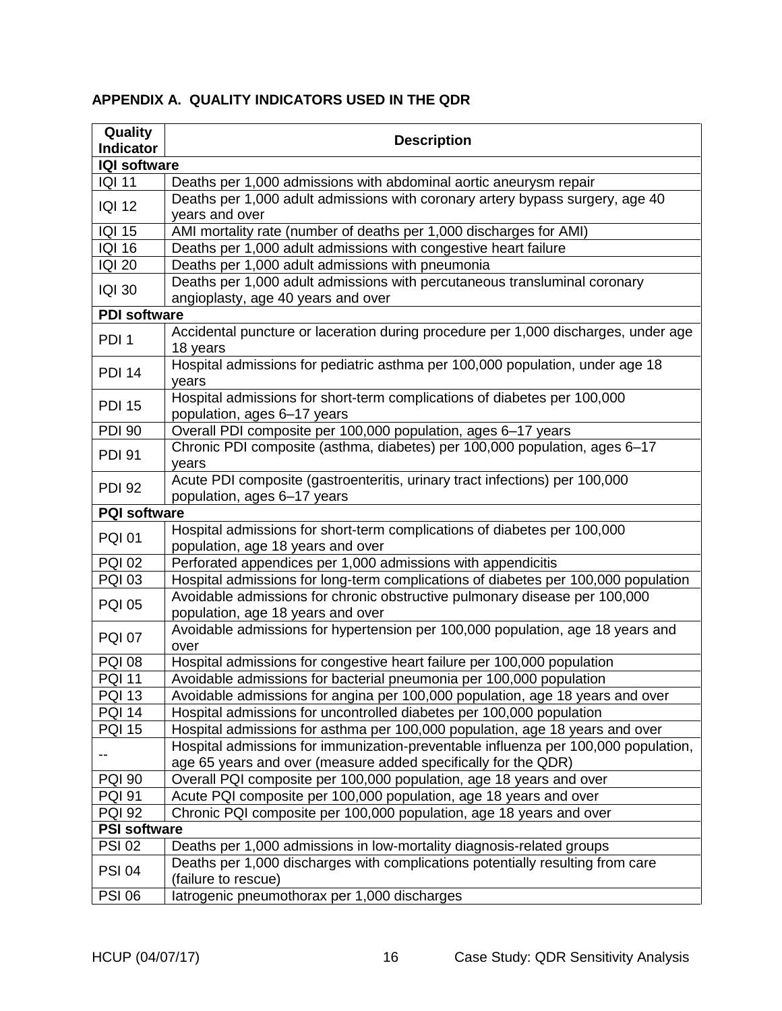| Quality<br><b>Indicator</b> | <b>Description</b>                                                                                                                                   |
|-----------------------------|------------------------------------------------------------------------------------------------------------------------------------------------------|
| <b>IQI software</b>         |                                                                                                                                                      |
| <b>IQI 11</b>               | Deaths per 1,000 admissions with abdominal aortic aneurysm repair                                                                                    |
|                             | Deaths per 1,000 adult admissions with coronary artery bypass surgery, age 40                                                                        |
| <b>IQI 12</b>               | years and over                                                                                                                                       |
| <b>IQI 15</b>               | AMI mortality rate (number of deaths per 1,000 discharges for AMI)                                                                                   |
| <b>IQI 16</b>               | Deaths per 1,000 adult admissions with congestive heart failure                                                                                      |
| <b>IQI 20</b>               | Deaths per 1,000 adult admissions with pneumonia                                                                                                     |
| <b>IQI 30</b>               | Deaths per 1,000 adult admissions with percutaneous transluminal coronary<br>angioplasty, age 40 years and over                                      |
| <b>PDI software</b>         |                                                                                                                                                      |
| PDI <sub>1</sub>            | Accidental puncture or laceration during procedure per 1,000 discharges, under age<br>18 years                                                       |
| <b>PDI 14</b>               | Hospital admissions for pediatric asthma per 100,000 population, under age 18<br>years                                                               |
| <b>PDI 15</b>               | Hospital admissions for short-term complications of diabetes per 100,000<br>population, ages 6-17 years                                              |
| <b>PDI 90</b>               | Overall PDI composite per 100,000 population, ages 6-17 years                                                                                        |
| <b>PDI 91</b>               | Chronic PDI composite (asthma, diabetes) per 100,000 population, ages 6-17<br>years                                                                  |
| <b>PDI 92</b>               | Acute PDI composite (gastroenteritis, urinary tract infections) per 100,000<br>population, ages 6-17 years                                           |
| <b>PQI software</b>         |                                                                                                                                                      |
| <b>PQI 01</b>               | Hospital admissions for short-term complications of diabetes per 100,000<br>population, age 18 years and over                                        |
| <b>PQI 02</b>               | Perforated appendices per 1,000 admissions with appendicitis                                                                                         |
| <b>PQI 03</b>               | Hospital admissions for long-term complications of diabetes per 100,000 population                                                                   |
| <b>PQI 05</b>               | Avoidable admissions for chronic obstructive pulmonary disease per 100,000<br>population, age 18 years and over                                      |
| <b>PQI 07</b>               | Avoidable admissions for hypertension per 100,000 population, age 18 years and<br>over                                                               |
| <b>PQI 08</b>               | Hospital admissions for congestive heart failure per 100,000 population                                                                              |
| <b>PQI 11</b>               | Avoidable admissions for bacterial pneumonia per 100,000 population                                                                                  |
| <b>PQI 13</b>               | Avoidable admissions for angina per 100,000 population, age 18 years and over                                                                        |
| <b>PQI 14</b>               | Hospital admissions for uncontrolled diabetes per 100,000 population                                                                                 |
| <b>PQI 15</b>               | Hospital admissions for asthma per 100,000 population, age 18 years and over                                                                         |
| --                          | Hospital admissions for immunization-preventable influenza per 100,000 population,<br>age 65 years and over (measure added specifically for the QDR) |
| <b>PQI 90</b>               | Overall PQI composite per 100,000 population, age 18 years and over                                                                                  |
| <b>PQI 91</b>               | Acute PQI composite per 100,000 population, age 18 years and over                                                                                    |
| <b>PQI 92</b>               | Chronic PQI composite per 100,000 population, age 18 years and over                                                                                  |
| <b>PSI software</b>         |                                                                                                                                                      |
| <b>PSI 02</b>               | Deaths per 1,000 admissions in low-mortality diagnosis-related groups                                                                                |
| <b>PSI 04</b>               | Deaths per 1,000 discharges with complications potentially resulting from care<br>(failure to rescue)                                                |
| <b>PSI 06</b>               | latrogenic pneumothorax per 1,000 discharges                                                                                                         |

# <span id="page-19-0"></span>**APPENDIX A. QUALITY INDICATORS USED IN THE QDR**